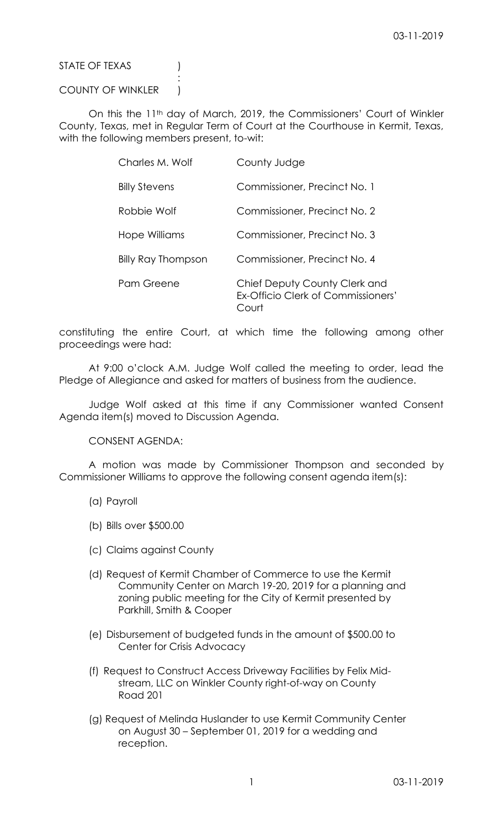STATE OF TEXAS (1)

## COUNTY OF WINKLER )

:

On this the 11<sup>th</sup> day of March, 2019, the Commissioners' Court of Winkler County, Texas, met in Regular Term of Court at the Courthouse in Kermit, Texas, with the following members present, to-wit:

| Charles M. Wolf      | County Judge                                                                 |
|----------------------|------------------------------------------------------------------------------|
| <b>Billy Stevens</b> | Commissioner, Precinct No. 1                                                 |
| Robbie Wolf          | Commissioner, Precinct No. 2                                                 |
| Hope Williams        | Commissioner, Precinct No. 3                                                 |
| Billy Ray Thompson   | Commissioner, Precinct No. 4                                                 |
| Pam Greene           | Chief Deputy County Clerk and<br>Ex-Officio Clerk of Commissioners'<br>Court |

constituting the entire Court, at which time the following among other proceedings were had:

At 9:00 o'clock A.M. Judge Wolf called the meeting to order, lead the Pledge of Allegiance and asked for matters of business from the audience.

Judge Wolf asked at this time if any Commissioner wanted Consent Agenda item(s) moved to Discussion Agenda.

CONSENT AGENDA:

A motion was made by Commissioner Thompson and seconded by Commissioner Williams to approve the following consent agenda item(s):

- (a) Payroll
- (b) Bills over \$500.00
- (c) Claims against County
- (d) Request of Kermit Chamber of Commerce to use the Kermit Community Center on March 19-20, 2019 for a planning and zoning public meeting for the City of Kermit presented by Parkhill, Smith & Cooper
- (e) Disbursement of budgeted funds in the amount of \$500.00 to Center for Crisis Advocacy
- (f) Request to Construct Access Driveway Facilities by Felix Midstream, LLC on Winkler County right-of-way on County Road 201
- (g) Request of Melinda Huslander to use Kermit Community Center on August 30 – September 01, 2019 for a wedding and reception.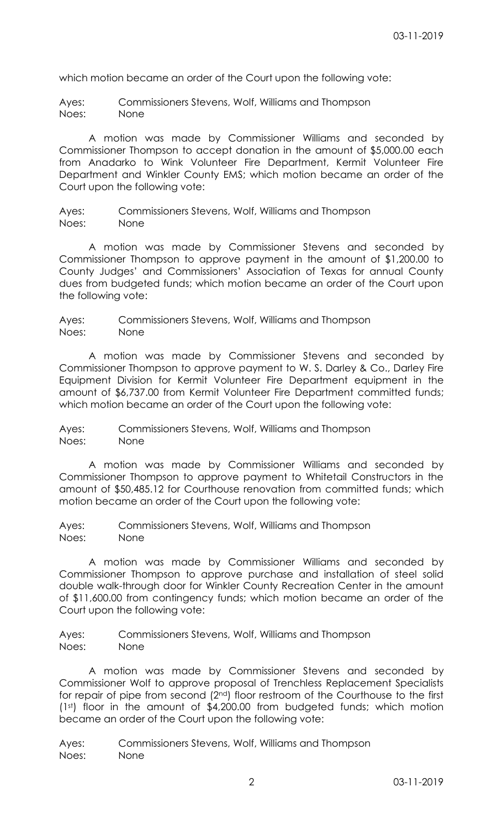which motion became an order of the Court upon the following vote:

Ayes: Commissioners Stevens, Wolf, Williams and Thompson Noes: None

A motion was made by Commissioner Williams and seconded by Commissioner Thompson to accept donation in the amount of \$5,000.00 each from Anadarko to Wink Volunteer Fire Department, Kermit Volunteer Fire Department and Winkler County EMS; which motion became an order of the Court upon the following vote:

Ayes: Commissioners Stevens, Wolf, Williams and Thompson Noes: None

A motion was made by Commissioner Stevens and seconded by Commissioner Thompson to approve payment in the amount of \$1,200.00 to County Judges' and Commissioners' Association of Texas for annual County dues from budgeted funds; which motion became an order of the Court upon the following vote:

Ayes: Commissioners Stevens, Wolf, Williams and Thompson Noes: None

A motion was made by Commissioner Stevens and seconded by Commissioner Thompson to approve payment to W. S. Darley & Co., Darley Fire Equipment Division for Kermit Volunteer Fire Department equipment in the amount of \$6,737.00 from Kermit Volunteer Fire Department committed funds; which motion became an order of the Court upon the following vote:

Ayes: Commissioners Stevens, Wolf, Williams and Thompson Noes: None

A motion was made by Commissioner Williams and seconded by Commissioner Thompson to approve payment to Whitetail Constructors in the amount of \$50,485.12 for Courthouse renovation from committed funds; which motion became an order of the Court upon the following vote:

Ayes: Commissioners Stevens, Wolf, Williams and Thompson Noes: None

A motion was made by Commissioner Williams and seconded by Commissioner Thompson to approve purchase and installation of steel solid double walk-through door for Winkler County Recreation Center in the amount of \$11,600.00 from contingency funds; which motion became an order of the Court upon the following vote:

Ayes: Commissioners Stevens, Wolf, Williams and Thompson Noes: None

A motion was made by Commissioner Stevens and seconded by Commissioner Wolf to approve proposal of Trenchless Replacement Specialists for repair of pipe from second (2nd) floor restroom of the Courthouse to the first (1st) floor in the amount of \$4,200.00 from budgeted funds; which motion became an order of the Court upon the following vote:

Ayes: Commissioners Stevens, Wolf, Williams and Thompson Noes: None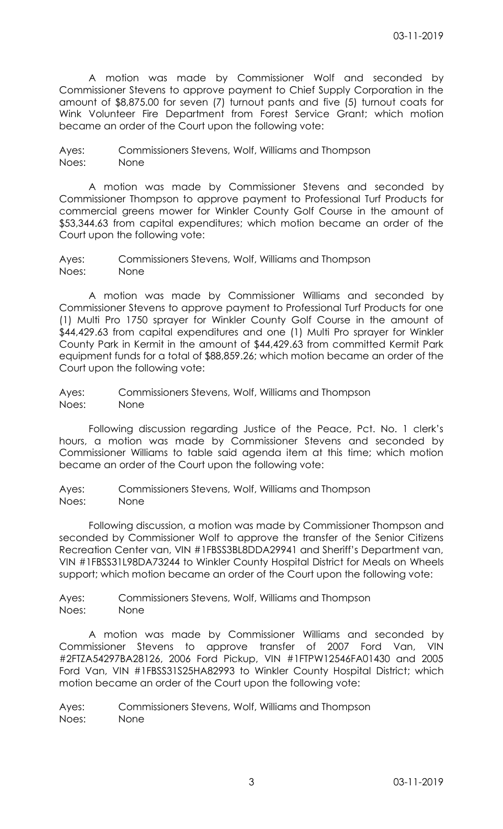A motion was made by Commissioner Wolf and seconded by Commissioner Stevens to approve payment to Chief Supply Corporation in the amount of \$8,875.00 for seven (7) turnout pants and five (5) turnout coats for Wink Volunteer Fire Department from Forest Service Grant; which motion became an order of the Court upon the following vote:

Ayes: Commissioners Stevens, Wolf, Williams and Thompson Noes: None

A motion was made by Commissioner Stevens and seconded by Commissioner Thompson to approve payment to Professional Turf Products for commercial greens mower for Winkler County Golf Course in the amount of \$53,344.63 from capital expenditures; which motion became an order of the Court upon the following vote:

Ayes: Commissioners Stevens, Wolf, Williams and Thompson Noes: None

A motion was made by Commissioner Williams and seconded by Commissioner Stevens to approve payment to Professional Turf Products for one (1) Multi Pro 1750 sprayer for Winkler County Golf Course in the amount of \$44,429.63 from capital expenditures and one (1) Multi Pro sprayer for Winkler County Park in Kermit in the amount of \$44,429.63 from committed Kermit Park equipment funds for a total of \$88,859.26; which motion became an order of the Court upon the following vote:

Ayes: Commissioners Stevens, Wolf, Williams and Thompson Noes: None

Following discussion regarding Justice of the Peace, Pct. No. 1 clerk's hours, a motion was made by Commissioner Stevens and seconded by Commissioner Williams to table said agenda item at this time; which motion became an order of the Court upon the following vote:

Ayes: Commissioners Stevens, Wolf, Williams and Thompson Noes: None

Following discussion, a motion was made by Commissioner Thompson and seconded by Commissioner Wolf to approve the transfer of the Senior Citizens Recreation Center van, VIN #1FBSS3BL8DDA29941 and Sheriff's Department van, VIN #1FBSS31L98DA73244 to Winkler County Hospital District for Meals on Wheels support; which motion became an order of the Court upon the following vote:

Ayes: Commissioners Stevens, Wolf, Williams and Thompson Noes: None

A motion was made by Commissioner Williams and seconded by Commissioner Stevens to approve transfer of 2007 Ford Van, VIN #2FTZA54297BA28126, 2006 Ford Pickup, VIN #1FTPW12546FA01430 and 2005 Ford Van, VIN #1FBSS31S25HA82993 to Winkler County Hospital District; which motion became an order of the Court upon the following vote:

Ayes: Commissioners Stevens, Wolf, Williams and Thompson Noes: None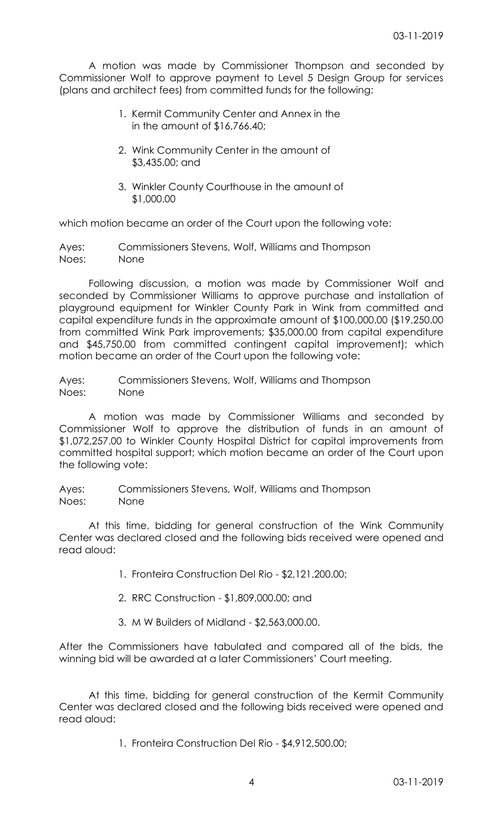A motion was made by Commissioner Thompson and seconded by Commissioner Wolf to approve payment to Level 5 Design Group for services (plans and architect fees) from committed funds for the following:

- 1. Kermit Community Center and Annex in the in the amount of \$16,766.40;
- 2. Wink Community Center in the amount of \$3,435.00; and
- 3. Winkler County Courthouse in the amount of \$1,000.00

which motion became an order of the Court upon the following vote:

Ayes: Commissioners Stevens, Wolf, Williams and Thompson Noes: None

Following discussion, a motion was made by Commissioner Wolf and seconded by Commissioner Williams to approve purchase and installation of playground equipment for Winkler County Park in Wink from committed and capital expenditure funds in the approximate amount of \$100,000.00 (\$19,250.00 from committed Wink Park improvements; \$35,000.00 from capital expenditure and \$45,750.00 from committed contingent capital improvement); which motion became an order of the Court upon the following vote:

Ayes: Commissioners Stevens, Wolf, Williams and Thompson Noes: None

A motion was made by Commissioner Williams and seconded by Commissioner Wolf to approve the distribution of funds in an amount of \$1,072,257.00 to Winkler County Hospital District for capital improvements from committed hospital support; which motion became an order of the Court upon the following vote:

Ayes: Commissioners Stevens, Wolf, Williams and Thompson Noes: None

At this time, bidding for general construction of the Wink Community Center was declared closed and the following bids received were opened and read aloud:

- 1. Fronteira Construction Del Rio \$2,121.200.00;
- 2. RRC Construction \$1,809,000.00; and
- 3. M W Builders of Midland \$2,563,000.00.

After the Commissioners have tabulated and compared all of the bids, the winning bid will be awarded at a later Commissioners' Court meeting.

At this time, bidding for general construction of the Kermit Community Center was declared closed and the following bids received were opened and read aloud:

1. Fronteira Construction Del Rio - \$4,912,500.00;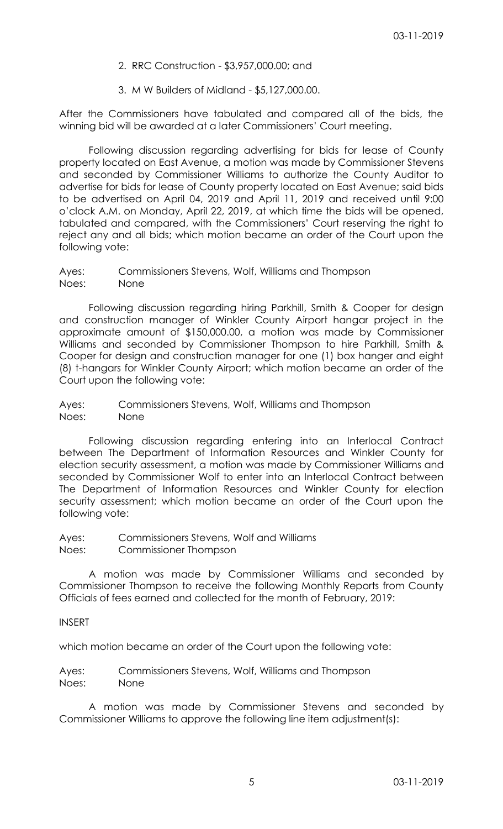- 2. RRC Construction \$3,957,000.00; and
- 3. M W Builders of Midland \$5,127,000.00.

After the Commissioners have tabulated and compared all of the bids, the winning bid will be awarded at a later Commissioners' Court meeting.

Following discussion regarding advertising for bids for lease of County property located on East Avenue, a motion was made by Commissioner Stevens and seconded by Commissioner Williams to authorize the County Auditor to advertise for bids for lease of County property located on East Avenue; said bids to be advertised on April 04, 2019 and April 11, 2019 and received until 9:00 o'clock A.M. on Monday, April 22, 2019, at which time the bids will be opened, tabulated and compared, with the Commissioners' Court reserving the right to reject any and all bids; which motion became an order of the Court upon the following vote:

Ayes: Commissioners Stevens, Wolf, Williams and Thompson Noes: None

Following discussion regarding hiring Parkhill, Smith & Cooper for design and construction manager of Winkler County Airport hangar project in the approximate amount of \$150,000.00, a motion was made by Commissioner Williams and seconded by Commissioner Thompson to hire Parkhill, Smith & Cooper for design and construction manager for one (1) box hanger and eight (8) t-hangars for Winkler County Airport; which motion became an order of the Court upon the following vote:

Ayes: Commissioners Stevens, Wolf, Williams and Thompson Noes: None

Following discussion regarding entering into an Interlocal Contract between The Department of Information Resources and Winkler County for election security assessment, a motion was made by Commissioner Williams and seconded by Commissioner Wolf to enter into an Interlocal Contract between The Department of Information Resources and Winkler County for election security assessment; which motion became an order of the Court upon the following vote:

Ayes: Commissioners Stevens, Wolf and Williams Noes: Commissioner Thompson

A motion was made by Commissioner Williams and seconded by Commissioner Thompson to receive the following Monthly Reports from County Officials of fees earned and collected for the month of February, 2019:

## INSERT

which motion became an order of the Court upon the following vote:

Ayes: Commissioners Stevens, Wolf, Williams and Thompson Noes: None

A motion was made by Commissioner Stevens and seconded by Commissioner Williams to approve the following line item adjustment(s):